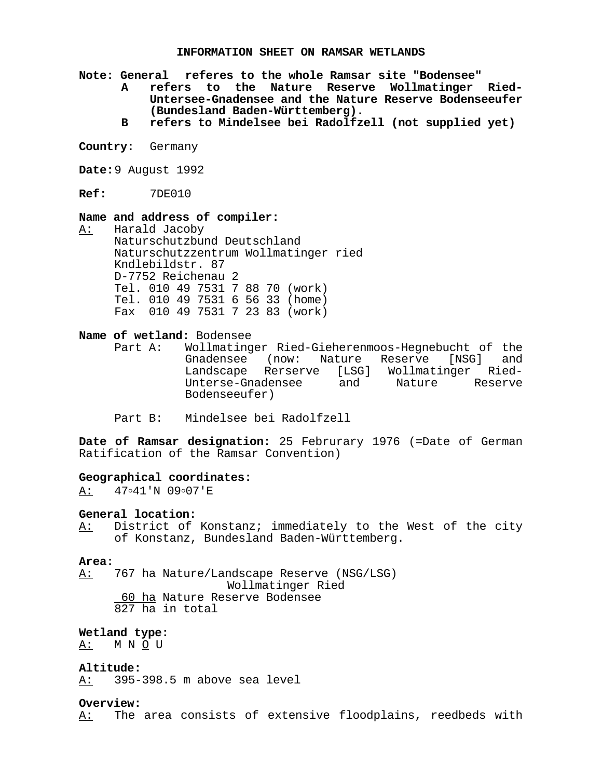#### **INFORMATION SHEET ON RAMSAR WETLANDS**

**Note: General referes to the whole Ramsar site "Bodensee"**

- **A refers to the Nature Reserve Wollmatinger Ried-Untersee-Gnadensee and the Nature Reserve Bodenseeufer (Bundesland Baden-Württemberg).**
- **B refers to Mindelsee bei Radolfzell (not supplied yet)**
- **Country:** Germany

**Date:**9 August 1992

**Ref:** 7DE010

#### **Name and address of compiler:**

A: Harald Jacoby Naturschutzbund Deutschland Naturschutzzentrum Wollmatinger ried Kndlebildstr. 87 D-7752 Reichenau 2 Tel. 010 49 7531 7 88 70 (work) Tel. 010 49 7531 6 56 33 (home) Fax 010 49 7531 7 23 83 (work)

#### **Name of wetland:** Bodensee

- Part A: Wollmatinger Ried-Gieherenmoos-Hegnebucht of the Gnadensee (now: Nature Reserve [NSG] and Landscape Rerserve [LSG] Wollmatinger Ried-Unterse-Gnadensee and Nature Reserve Bodenseeufer)
- Part B: Mindelsee bei Radolfzell

**Date of Ramsar designation:** 25 Februrary 1976 (=Date of German Ratification of the Ramsar Convention)

#### **Geographical coordinates:**

 $A: 47041'N 09007'E$ 

#### **General location:**

A: District of Konstanz; immediately to the West of the city of Konstanz, Bundesland Baden-Württemberg.

#### **Area:**

A: 767 ha Nature/Landscape Reserve (NSG/LSG) Wollmatinger Ried 60 ha Nature Reserve Bodensee 827 ha in total

#### **Wetland type:**

A: M N O U

#### **Altitude:**

A: 395-398.5 m above sea level

### **Overview:**

A: The area consists of extensive floodplains, reedbeds with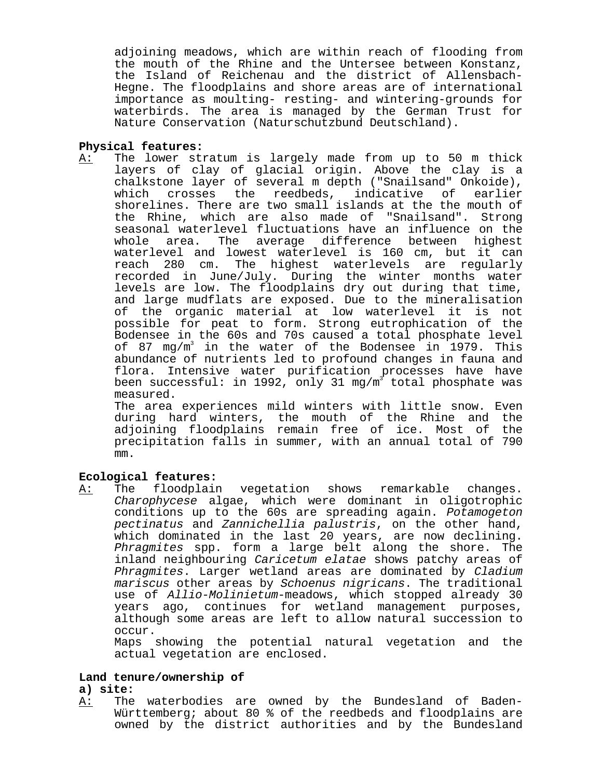adjoining meadows, which are within reach of flooding from the mouth of the Rhine and the Untersee between Konstanz, the Island of Reichenau and the district of Allensbach-Hegne. The floodplains and shore areas are of international importance as moulting- resting- and wintering-grounds for waterbirds. The area is managed by the German Trust for Nature Conservation (Naturschutzbund Deutschland).

## **Physical features:**

A: The lower stratum is largely made from up to 50 m thick layers of clay of glacial origin. Above the clay is a chalkstone layer of several m depth ("Snailsand" Onkoide), which crosses the reedbeds, indicative of earlier shorelines. There are two small islands at the the mouth of the Rhine, which are also made of "Snailsand". Strong seasonal waterlevel fluctuations have an influence on the whole area. The average difference between highest waterlevel and lowest waterlevel is 160 cm, but it can reach 280 cm. The highest waterlevels are regularly recorded in June/July. During the winter months water levels are low. The floodplains dry out during that time, and large mudflats are exposed. Due to the mineralisation of the organic material at low waterlevel it is not possible for peat to form. Strong eutrophication of the Bodensee in the 60s and 70s caused a total phosphate level of 87 mg/m3 in the water of the Bodensee in 1979. This abundance of nutrients led to profound changes in fauna and flora. Intensive water purification processes have have been successful: in 1992, only 31 mg/m $^{\circ}$  total phosphate was measured.

The area experiences mild winters with little snow. Even during hard winters, the mouth of the Rhine and the adjoining floodplains remain free of ice. Most of the precipitation falls in summer, with an annual total of 790 mm.

# **Ecological features:**

A: The floodplain vegetation shows remarkable changes. Charophycese algae, which were dominant in oligotrophic conditions up to the 60s are spreading again. Potamogeton pectinatus and Zannichellia palustris, on the other hand, which dominated in the last 20 years, are now declining. Phragmites spp. form a large belt along the shore. The inland neighbouring Caricetum elatae shows patchy areas of Phragmites. Larger wetland areas are dominated by Cladium mariscus other areas by Schoenus nigricans. The traditional use of Allio-Molinietum-meadows, which stopped already 30 years ago, continues for wetland management purposes, although some areas are left to allow natural succession to occur.

Maps showing the potential natural vegetation and the actual vegetation are enclosed.

# **Land tenure/ownership of**

# **a) site:**

A: The waterbodies are owned by the Bundesland of Baden-Württemberg; about 80 % of the reedbeds and floodplains are owned by the district authorities and by the Bundesland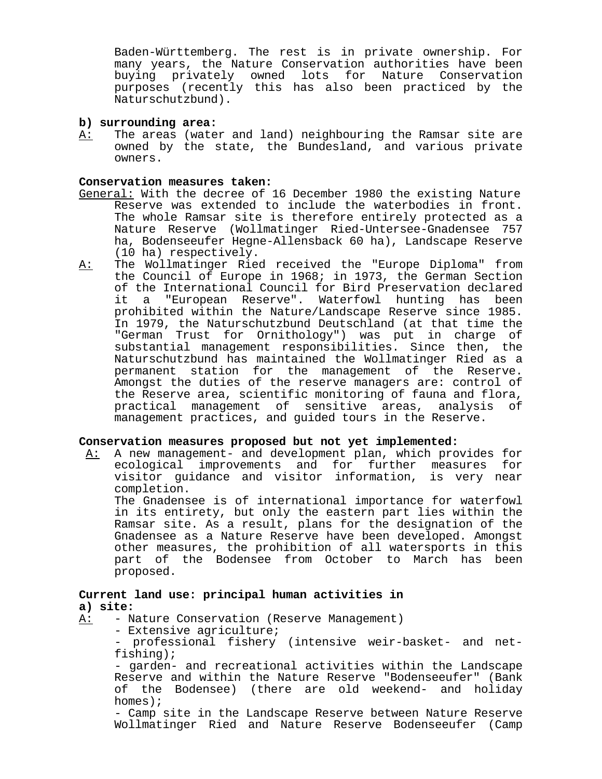Baden-Württemberg. The rest is in private ownership. For many years, the Nature Conservation authorities have been buying privately owned lots for Nature Conservation purposes (recently this has also been practiced by the Naturschutzbund).

### **b) surrounding area:**

A: The areas (water and land) neighbouring the Ramsar site are owned by the state, the Bundesland, and various private owners.

#### **Conservation measures taken:**

- General: With the decree of 16 December 1980 the existing Nature Reserve was extended to include the waterbodies in front. The whole Ramsar site is therefore entirely protected as a Nature Reserve (Wollmatinger Ried-Untersee-Gnadensee 757 ha, Bodenseeufer Hegne-Allensback 60 ha), Landscape Reserve (10 ha) respectively.
- A: The Wollmatinger Ried received the "Europe Diploma" from the Council of Europe in 1968; in 1973, the German Section of the International Council for Bird Preservation declared it a "European Reserve". Waterfowl hunting has been prohibited within the Nature/Landscape Reserve since 1985. In 1979, the Naturschutzbund Deutschland (at that time the "German Trust for Ornithology") was put in charge of substantial management responsibilities. Since then, the Naturschutzbund has maintained the Wollmatinger Ried as a permanent station for the management of the Reserve. Amongst the duties of the reserve managers are: control of the Reserve area, scientific monitoring of fauna and flora, practical management of sensitive areas, analysis of management practices, and guided tours in the Reserve.

### **Conservation measures proposed but not yet implemented:**

A: A new management- and development plan, which provides for ecological improvements and for further measures for visitor guidance and visitor information, is very near completion.

The Gnadensee is of international importance for waterfowl in its entirety, but only the eastern part lies within the Ramsar site. As a result, plans for the designation of the Gnadensee as a Nature Reserve have been developed. Amongst other measures, the prohibition of all watersports in this part of the Bodensee from October to March has been proposed.

# **Current land use: principal human activities in a) site:**

- A: Nature Conservation (Reserve Management)
	- Extensive agriculture;
	- professional fishery (intensive weir-basket- and netfishing);

- garden- and recreational activities within the Landscape Reserve and within the Nature Reserve "Bodenseeufer" (Bank of the Bodensee) (there are old weekend- and holiday homes);

- Camp site in the Landscape Reserve between Nature Reserve Wollmatinger Ried and Nature Reserve Bodenseeufer (Camp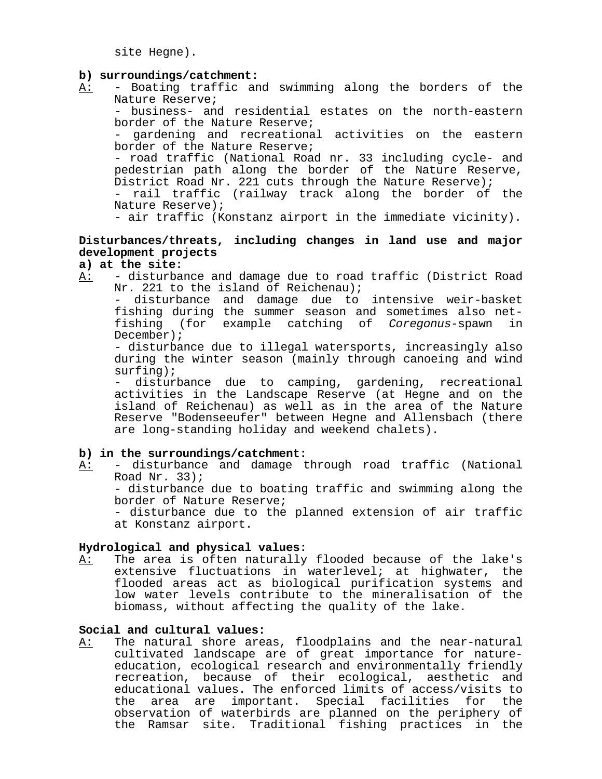site Hegne).

### **b) surroundings/catchment:**

A: - Boating traffic and swimming along the borders of the Nature Reserve;

- business- and residential estates on the north-eastern border of the Nature Reserve;

- gardening and recreational activities on the eastern border of the Nature Reserve;

- road traffic (National Road nr. 33 including cycle- and pedestrian path along the border of the Nature Reserve, District Road Nr. 221 cuts through the Nature Reserve);

- rail traffic (railway track along the border of the Nature Reserve);

- air traffic (Konstanz airport in the immediate vicinity).

# **Disturbances/threats, including changes in land use and major development projects**

# **a) at the site:**

A: - disturbance and damage due to road traffic (District Road Nr. 221 to the island of Reichenau);

- disturbance and damage due to intensive weir-basket fishing during the summer season and sometimes also netfishing (for example catching of Coregonus-spawn in December);

- disturbance due to illegal watersports, increasingly also during the winter season (mainly through canoeing and wind surfing);

disturbance due to camping, gardening, recreational activities in the Landscape Reserve (at Hegne and on the island of Reichenau) as well as in the area of the Nature Reserve "Bodenseeufer" between Hegne and Allensbach (there are long-standing holiday and weekend chalets).

## **b) in the surroundings/catchment:**

A: - disturbance and damage through road traffic (National Road Nr. 33);

- disturbance due to boating traffic and swimming along the border of Nature Reserve;

- disturbance due to the planned extension of air traffic at Konstanz airport.

### **Hydrological and physical values:**

A: The area is often naturally flooded because of the lake's extensive fluctuations in waterlevel; at highwater, the flooded areas act as biological purification systems and low water levels contribute to the mineralisation of the biomass, without affecting the quality of the lake.

### **Social and cultural values:**

A: The natural shore areas, floodplains and the near-natural cultivated landscape are of great importance for natureeducation, ecological research and environmentally friendly recreation, because of their ecological, aesthetic and educational values. The enforced limits of access/visits to the area are important. Special facilities for the observation of waterbirds are planned on the periphery of the Ramsar site. Traditional fishing practices in the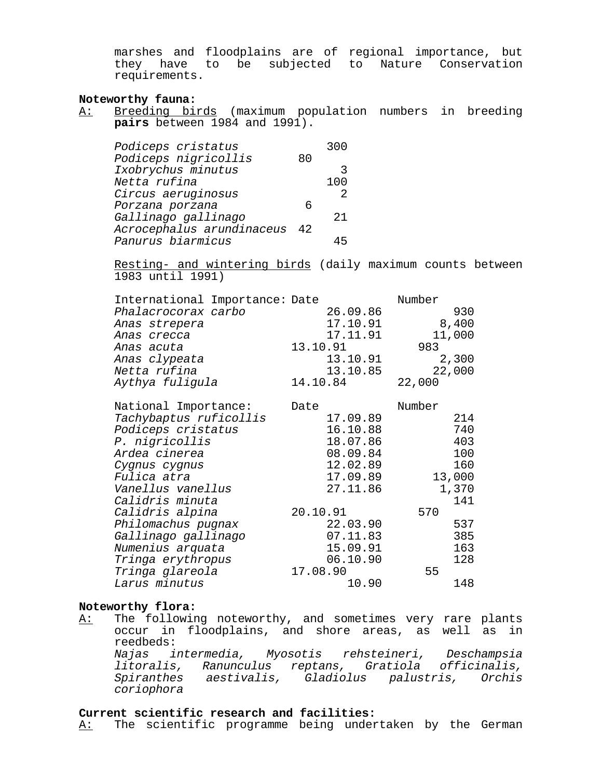marshes and floodplains are of regional importance, but they have to be subjected to Nature Conservation requirements.

### **Noteworthy fauna:**

A: Breeding birds (maximum population numbers in breeding **pairs** between 1984 and 1991).

| Podiceps cristatus        |     | 300 |
|---------------------------|-----|-----|
| Podiceps nigricollis      | 80  |     |
| Ixobrychus minutus        |     |     |
| Netta rufina              |     | 100 |
| Circus aeruginosus        |     | 2   |
| Porzana porzana           |     |     |
| Gallinago gallinago       |     | 21  |
| Acrocephalus arundinaceus | -42 |     |
| Panurus biarmicus         |     |     |

Resting- and wintering birds (daily maximum counts between 1983 until 1991)

| International Importance: Date | Number   |        |
|--------------------------------|----------|--------|
| Phalacrocorax carbo            | 26.09.86 | 930    |
| Anas strepera                  | 17.10.91 | 8,400  |
| Anas crecca                    | 17.11.91 | 11,000 |
| Anas acuta                     | 13.10.91 | 983    |
| Anas clypeata                  | 13.10.91 | 2,300  |
| Netta rufina                   | 13.10.85 | 22,000 |
| Aythya fuligula                | 14.10.84 | 22,000 |
| National Importance:           | Date     | Number |
| Tachybaptus ruficollis         | 17.09.89 | 214    |
| Podiceps cristatus             | 16.10.88 | 740    |
| <i>P. nigricollis</i>          | 18.07.86 | 403    |
| Ardea cinerea                  | 08.09.84 | 100    |
| Cygnus cygnus                  | 12.02.89 | 160    |
| Fulica atra                    | 17.09.89 | 13,000 |
| Vanellus vanellus              | 27.11.86 | 1,370  |
| Calidris minuta                |          | 141    |
| Calidris alpina                | 20.10.91 | 570    |
| Philomachus pugnax             | 22.03.90 | 537    |
| Gallinago gallinago            | 07.11.83 | 385    |
| Numenius arquata               | 15.09.91 | 163    |
| Tringa erythropus              | 06.10.90 | 128    |
| Tringa glareola                | 17.08.90 | 55     |
| Larus minutus                  | 10.90    | 148    |

#### **Noteworthy flora:**

A: The following noteworthy, and sometimes very rare plants occur in floodplains, and shore areas, as well as in reedbeds: Najas intermedia, Myosotis rehsteineri, Deschampsia litoralis, Ranunculus reptans, Gratiola officinalis, Spiranthes aestivalis, Gladiolus palustris, Orchis coriophora

# **Current scientific research and facilities:**

A: The scientific programme being undertaken by the German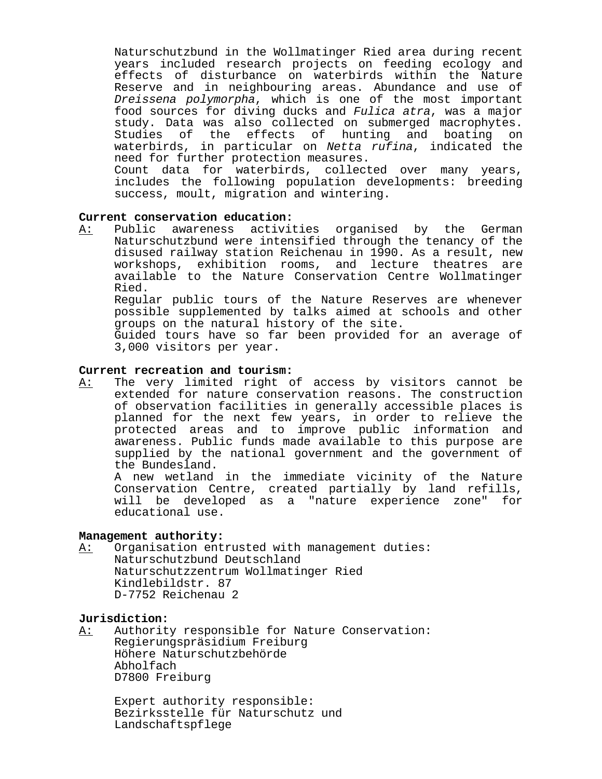Naturschutzbund in the Wollmatinger Ried area during recent years included research projects on feeding ecology and effects of disturbance on waterbirds within the Nature Reserve and in neighbouring areas. Abundance and use of Dreissena polymorpha, which is one of the most important food sources for diving ducks and Fulica atra, was a major study. Data was also collected on submerged macrophytes. Studies of the effects of hunting and boating on waterbirds, in particular on Netta rufina, indicated the need for further protection measures.

Count data for waterbirds, collected over many years, includes the following population developments: breeding success, moult, migration and wintering.

## **Current conservation education:**

A: Public awareness activities organised by the German Naturschutzbund were intensified through the tenancy of the disused railway station Reichenau in 1990. As a result, new workshops, exhibition rooms, and lecture theatres are available to the Nature Conservation Centre Wollmatinger Ried.

Regular public tours of the Nature Reserves are whenever possible supplemented by talks aimed at schools and other groups on the natural history of the site.

Guided tours have so far been provided for an average of 3,000 visitors per year.

# **Current recreation and tourism:**

A: The very limited right of access by visitors cannot be extended for nature conservation reasons. The construction of observation facilities in generally accessible places is planned for the next few years, in order to relieve the protected areas and to improve public information and awareness. Public funds made available to this purpose are supplied by the national government and the government of the Bundesland.

A new wetland in the immediate vicinity of the Nature Conservation Centre, created partially by land refills, will be developed as a "nature experience zone" for educational use.

### **Management authority:**

A: Organisation entrusted with management duties: Naturschutzbund Deutschland Naturschutzzentrum Wollmatinger Ried Kindlebildstr. 87 D-7752 Reichenau 2

## **Jurisdiction:**

A: Authority responsible for Nature Conservation: Regierungspräsidium Freiburg Höhere Naturschutzbehörde Abholfach D7800 Freiburg

Expert authority responsible: Bezirksstelle für Naturschutz und Landschaftspflege